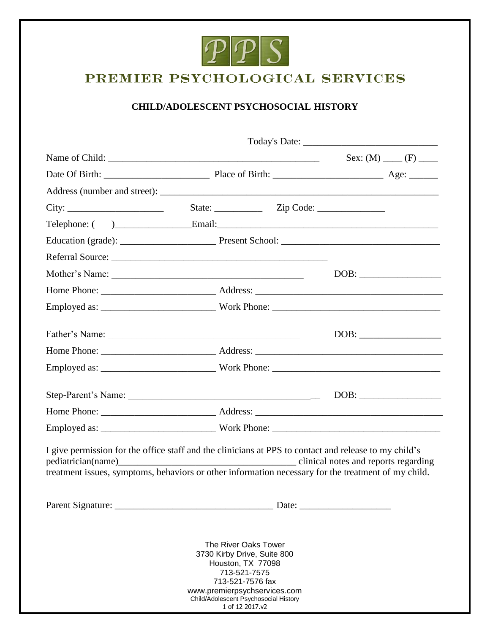

# PREMIER PSYCHOLOGICAL SERVICES

## **CHILD/ADOLESCENT PSYCHOSOCIAL HISTORY**

| Referral Source:                                                                                                                                                                                                                                                        |                                                                                                      |                                                                                                  |  |  |
|-------------------------------------------------------------------------------------------------------------------------------------------------------------------------------------------------------------------------------------------------------------------------|------------------------------------------------------------------------------------------------------|--------------------------------------------------------------------------------------------------|--|--|
|                                                                                                                                                                                                                                                                         |                                                                                                      |                                                                                                  |  |  |
|                                                                                                                                                                                                                                                                         |                                                                                                      |                                                                                                  |  |  |
|                                                                                                                                                                                                                                                                         |                                                                                                      |                                                                                                  |  |  |
|                                                                                                                                                                                                                                                                         |                                                                                                      |                                                                                                  |  |  |
|                                                                                                                                                                                                                                                                         |                                                                                                      |                                                                                                  |  |  |
|                                                                                                                                                                                                                                                                         |                                                                                                      |                                                                                                  |  |  |
|                                                                                                                                                                                                                                                                         |                                                                                                      |                                                                                                  |  |  |
|                                                                                                                                                                                                                                                                         |                                                                                                      |                                                                                                  |  |  |
|                                                                                                                                                                                                                                                                         |                                                                                                      |                                                                                                  |  |  |
|                                                                                                                                                                                                                                                                         |                                                                                                      |                                                                                                  |  |  |
| I give permission for the office staff and the clinicians at PPS to contact and release to my child's<br>pediatrician(name) clinical notes and reports regarding<br>treatment issues, symptoms, behaviors or other information necessary for the treatment of my child. |                                                                                                      |                                                                                                  |  |  |
|                                                                                                                                                                                                                                                                         |                                                                                                      |                                                                                                  |  |  |
|                                                                                                                                                                                                                                                                         | 3730 Kirby Drive, Suite 800<br>www.premierpsychservices.com<br>Child/Adolescent Psychosocial History | The River Oaks Tower<br>Houston, TX 77098<br>713-521-7575<br>713-521-7576 fax<br>1 of 12 2017.v2 |  |  |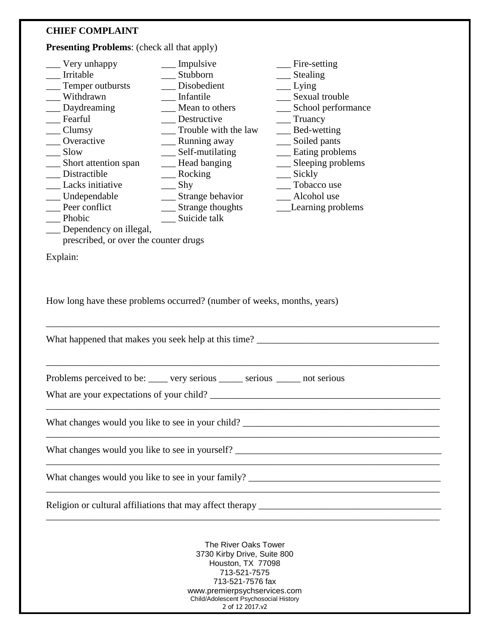## **CHIEF COMPLAINT**

**Presenting Problems**: (check all that apply)

| $\equiv$ Very unhappy                 | __ Impulsive                                                                                                                                                                                             | $\equiv$ Fire-setting |  |
|---------------------------------------|----------------------------------------------------------------------------------------------------------------------------------------------------------------------------------------------------------|-----------------------|--|
| Irritable                             | Stubborn                                                                                                                                                                                                 | $\equiv$ Stealing     |  |
| Temper outbursts                      | Disobedient                                                                                                                                                                                              | Lying                 |  |
| Withdrawn                             | Infantile                                                                                                                                                                                                | __ Sexual trouble     |  |
| __ Daydreaming                        | __ Mean to others                                                                                                                                                                                        | __ School performance |  |
| Fearful                               | __ Destructive                                                                                                                                                                                           | Truancy               |  |
| $\equiv$ Clumsy                       | Trouble with the law                                                                                                                                                                                     | $\_\_\_\$ Bed-wetting |  |
| Overactive                            | ____ Running away                                                                                                                                                                                        | __ Soiled pants       |  |
| Slow                                  | __ Self-mutilating                                                                                                                                                                                       | __ Eating problems    |  |
| __ Short attention span               | __ Head banging                                                                                                                                                                                          | __ Sleeping problems  |  |
| __ Distractible                       | $\_\_\$ Rocking                                                                                                                                                                                          | $\equiv$ Sickly       |  |
| <b>Lacks</b> initiative               | $\equiv$ Shy                                                                                                                                                                                             | __ Tobacco use        |  |
| __ Undependable                       | __ Strange behavior                                                                                                                                                                                      | Alcohol use           |  |
| Peer conflict                         | ___ Strange thoughts                                                                                                                                                                                     | __Learning problems   |  |
| $\qquad$ Phobic                       | __ Suicide talk                                                                                                                                                                                          |                       |  |
| __ Dependency on illegal,             |                                                                                                                                                                                                          |                       |  |
| prescribed, or over the counter drugs |                                                                                                                                                                                                          |                       |  |
|                                       |                                                                                                                                                                                                          |                       |  |
| Explain:                              |                                                                                                                                                                                                          |                       |  |
|                                       |                                                                                                                                                                                                          |                       |  |
|                                       | Problems perceived to be: _____ very serious _____ serious _____ not serious                                                                                                                             |                       |  |
|                                       |                                                                                                                                                                                                          |                       |  |
|                                       |                                                                                                                                                                                                          |                       |  |
|                                       |                                                                                                                                                                                                          |                       |  |
|                                       |                                                                                                                                                                                                          |                       |  |
|                                       |                                                                                                                                                                                                          |                       |  |
|                                       |                                                                                                                                                                                                          |                       |  |
|                                       |                                                                                                                                                                                                          |                       |  |
|                                       |                                                                                                                                                                                                          |                       |  |
|                                       |                                                                                                                                                                                                          |                       |  |
|                                       |                                                                                                                                                                                                          |                       |  |
|                                       | The River Oaks Tower<br>3730 Kirby Drive, Suite 800<br>Houston, TX 77098<br>713-521-7575<br>713-521-7576 fax<br>www.premierpsychservices.com<br>Child/Adolescent Psychosocial History<br>2 of 12 2017.v2 |                       |  |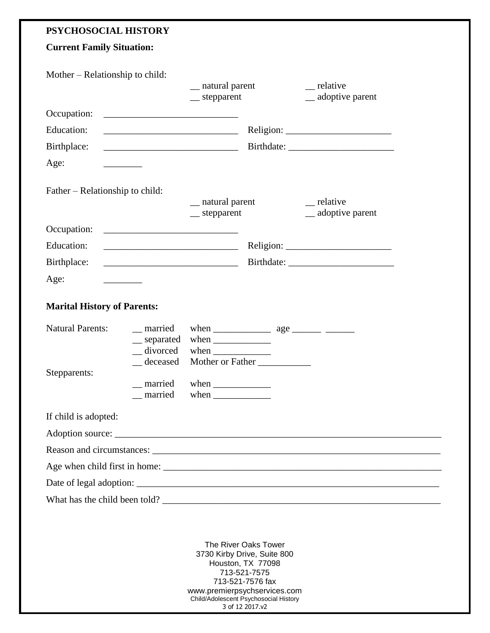## **PSYCHOSOCIAL HISTORY**

| <b>Current Family Situation:</b>          |                                                                                                                       |                                                                                                                                                      |                                                                         |                                         |
|-------------------------------------------|-----------------------------------------------------------------------------------------------------------------------|------------------------------------------------------------------------------------------------------------------------------------------------------|-------------------------------------------------------------------------|-----------------------------------------|
| Mother – Relationship to child:           |                                                                                                                       | __ natural parent<br>$\equiv$ stepparent                                                                                                             |                                                                         | $\equiv$ relative<br>__ adoptive parent |
| Occupation:                               |                                                                                                                       |                                                                                                                                                      |                                                                         |                                         |
| Education:                                |                                                                                                                       |                                                                                                                                                      |                                                                         |                                         |
| Birthplace:                               |                                                                                                                       |                                                                                                                                                      |                                                                         |                                         |
| Age:<br>and the control of the control of |                                                                                                                       |                                                                                                                                                      |                                                                         |                                         |
| Father – Relationship to child:           |                                                                                                                       | __ natural parent<br>$\equiv$ stepparent                                                                                                             |                                                                         | __ relative<br>__ adoptive parent       |
| Occupation:                               | <u> 1989 - Johann Harry Harry Harry Harry Harry Harry Harry Harry Harry Harry Harry Harry Harry Harry Harry Harry</u> |                                                                                                                                                      |                                                                         |                                         |
| Education:                                | <u> 2000 - Jan James James Barbara, president populari est</u>                                                        |                                                                                                                                                      |                                                                         |                                         |
| Birthplace:                               |                                                                                                                       |                                                                                                                                                      |                                                                         |                                         |
| Age:                                      |                                                                                                                       |                                                                                                                                                      |                                                                         |                                         |
| <b>Marital History of Parents:</b>        |                                                                                                                       |                                                                                                                                                      |                                                                         |                                         |
| <b>Natural Parents:</b>                   | _ married<br>separated<br>$\equiv$ divorced                                                                           | when $\frac{1}{\sqrt{1-\frac{1}{2}}\cdot\frac{1}{\sqrt{1-\frac{1}{2}}}}$<br>when $\frac{1}{\sqrt{1-\frac{1}{2}}\cdot\frac{1}{\sqrt{1-\frac{1}{2}}}}$ |                                                                         |                                         |
| Stepparents:                              | deceased<br>married<br>_ married                                                                                      | when $\frac{1}{\sqrt{1-\frac{1}{2}}\left\vert \frac{1}{2}+1\right\vert }$<br>when $\frac{1}{\sqrt{1-\frac{1}{2}}\cdot\frac{1}{2}}$                   | Mother or Father                                                        |                                         |
| If child is adopted:                      |                                                                                                                       |                                                                                                                                                      |                                                                         |                                         |
|                                           |                                                                                                                       |                                                                                                                                                      |                                                                         |                                         |
|                                           |                                                                                                                       |                                                                                                                                                      |                                                                         |                                         |
|                                           |                                                                                                                       |                                                                                                                                                      |                                                                         |                                         |
|                                           |                                                                                                                       |                                                                                                                                                      |                                                                         |                                         |
|                                           |                                                                                                                       |                                                                                                                                                      |                                                                         | What has the child been told?           |
|                                           |                                                                                                                       |                                                                                                                                                      | The River Oaks Tower<br>3730 Kirby Drive, Suite 800<br>Houston TY 77008 |                                         |

Houston, TX 77098 713-521-7575 713-521-7576 fax www.premierpsychservices.com Child/Adolescent Psychosocial History 3 of 12 2017.v2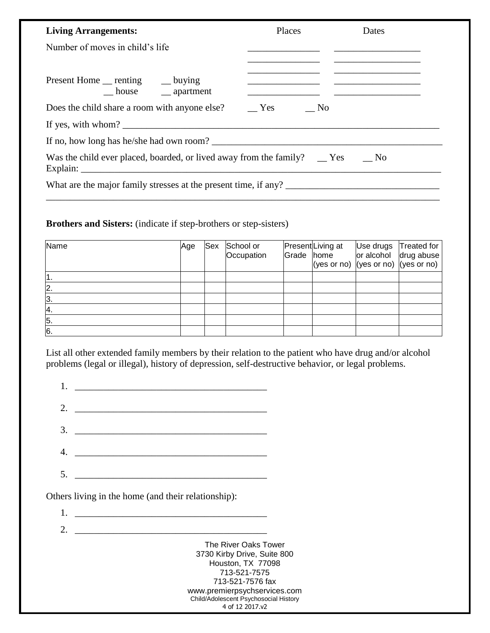| <b>Living Arrangements:</b>                                                                 | Places | Dates |
|---------------------------------------------------------------------------------------------|--------|-------|
| Number of moves in child's life                                                             |        |       |
| Present Home __ renting ___ buying<br>house _____ apartment                                 |        |       |
|                                                                                             |        |       |
|                                                                                             |        |       |
| If no, how long has he/she had own room?                                                    |        |       |
| Was the child ever placed, boarded, or lived away from the family? $\Gamma$ Yes $\Gamma$ No |        |       |
| What are the major family stresses at the present time, if any?                             |        |       |

### **Brothers and Sisters:** (indicate if step-brothers or step-sisters)

| Name         | Age | Sex | School or<br>Occupation | Grade home | Present Living at | Use drugs<br>or alcohol drug abuse<br>(yes or no) (yes or no) (yes or no) | Treated for |
|--------------|-----|-----|-------------------------|------------|-------------------|---------------------------------------------------------------------------|-------------|
|              |     |     |                         |            |                   |                                                                           |             |
| $\mathsf{2}$ |     |     |                         |            |                   |                                                                           |             |
| 3.           |     |     |                         |            |                   |                                                                           |             |
| <b>4.</b>    |     |     |                         |            |                   |                                                                           |             |
| 5.           |     |     |                         |            |                   |                                                                           |             |
| 6.           |     |     |                         |            |                   |                                                                           |             |

List all other extended family members by their relation to the patient who have drug and/or alcohol problems (legal or illegal), history of depression, self-destructive behavior, or legal problems.

| $1.$ $\frac{1}{2}$ $\frac{1}{2}$ $\frac{1}{2}$ $\frac{1}{2}$ $\frac{1}{2}$ $\frac{1}{2}$ $\frac{1}{2}$ $\frac{1}{2}$ $\frac{1}{2}$ $\frac{1}{2}$ $\frac{1}{2}$ $\frac{1}{2}$ $\frac{1}{2}$ $\frac{1}{2}$ $\frac{1}{2}$ $\frac{1}{2}$ $\frac{1}{2}$ $\frac{1}{2}$ $\frac{1}{2}$ $\frac{1}{2}$ $\frac{1}{2}$ $\frac{1}{$ |
|------------------------------------------------------------------------------------------------------------------------------------------------------------------------------------------------------------------------------------------------------------------------------------------------------------------------|
| 2. $\overline{\phantom{a}1}$                                                                                                                                                                                                                                                                                           |
|                                                                                                                                                                                                                                                                                                                        |
|                                                                                                                                                                                                                                                                                                                        |
| 5.                                                                                                                                                                                                                                                                                                                     |
|                                                                                                                                                                                                                                                                                                                        |

Others living in the home (and their relationship):

1. \_\_\_\_\_\_\_\_\_\_\_\_\_\_\_\_\_\_\_\_\_\_\_\_\_\_\_\_\_\_\_\_\_\_\_\_\_\_\_\_ 2. \_\_\_\_\_\_\_\_\_\_\_\_\_\_\_\_\_\_\_\_\_\_\_\_\_\_\_\_\_\_\_\_\_\_\_\_\_\_\_\_

> The River Oaks Tower 3730 Kirby Drive, Suite 800 Houston, TX 77098 713-521-7575 713-521-7576 fax www.premierpsychservices.com Child/Adolescent Psychosocial History 4 of 12 2017.v2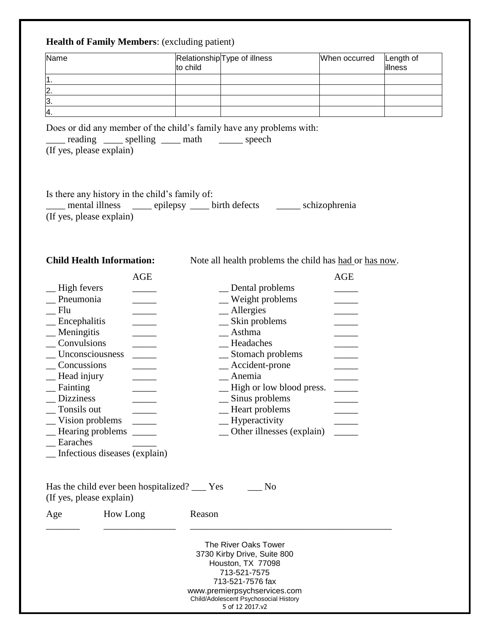## **Health of Family Members**: (excluding patient)

| Name          | to child | RelationshipType of illness | When occurred | Length of<br>illness |
|---------------|----------|-----------------------------|---------------|----------------------|
|               |          |                             |               |                      |
| $\mathbf{2}$  |          |                             |               |                      |
| 13.           |          |                             |               |                      |
| <sup>4.</sup> |          |                             |               |                      |

Does or did any member of the child's family have any problems with:

| reading                  | $\frac{1}{2}$ spelling | math | speech |
|--------------------------|------------------------|------|--------|
| (If yes, please explain) |                        |      |        |

| Is there any history in the child's family of:       |  |               |
|------------------------------------------------------|--|---------------|
| mental illness _______ epilepsy ______ birth defects |  | schizophrenia |
| (If yes, please explain)                             |  |               |

**Child Health Information:** Note all health problems the child has <u>had or has now</u>.

|                               | <b>AGE</b> |                           | <b>AGE</b> |
|-------------------------------|------------|---------------------------|------------|
| High fevers                   |            | Dental problems           |            |
| Pneumonia                     |            | _ Weight problems         |            |
| Flu                           |            | _Allergies                |            |
| Encephalitis                  |            | Skin problems             |            |
| Meningitis                    |            | Asthma                    |            |
| Convulsions                   |            | Headaches                 |            |
| Unconsciousness               |            | Stomach problems          |            |
| Concussions                   |            | $\_\$ Accident-prone      |            |
| Head injury                   |            | Anemia                    |            |
| Fainting                      |            | -High or low blood press. |            |
| <b>Dizziness</b>              |            | _ Sinus problems          |            |
| Tonsils out                   |            | - Heart problems          |            |
| Vision problems               |            | $\equiv$ Hyperactivity    |            |
| Hearing problems              |            | Other illnesses (explain) |            |
| Earaches                      |            |                           |            |
| Infectious diseases (explain) |            |                           |            |

Has the child ever been hospitalized? \_\_\_ Yes \_\_\_ No

|  |  | (If yes, please explain) |  |  |
|--|--|--------------------------|--|--|
|  |  |                          |  |  |

(If yes, piease exp

Age How Long Reason

The River Oaks Tower 3730 Kirby Drive, Suite 800 Houston, TX 77098 713-521-7575 713-521-7576 fax www.premierpsychservices.com Child/Adolescent Psychosocial History 5 of 12 2017.v2

\_\_\_\_\_\_\_ \_\_\_\_\_\_\_\_\_\_\_\_\_\_\_ \_\_\_\_\_\_\_\_\_\_\_\_\_\_\_\_\_\_\_\_\_\_\_\_\_\_\_\_\_\_\_\_\_\_\_\_\_\_\_\_\_\_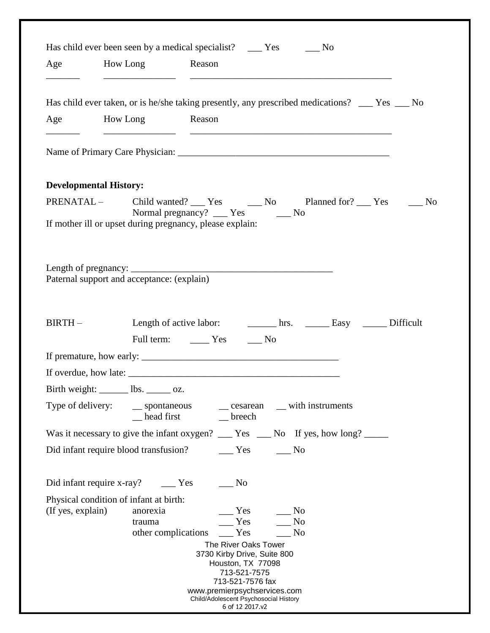|                               | Has child ever been seen by a medical specialist? _____ Yes ______ No                         |  |
|-------------------------------|-----------------------------------------------------------------------------------------------|--|
| Age                           | How Long Reason                                                                               |  |
|                               | Has child ever taken, or is he/she taking presently, any prescribed medications? __ Yes __ No |  |
| Age                           | How Long Reason                                                                               |  |
|                               |                                                                                               |  |
|                               |                                                                                               |  |
| <b>Developmental History:</b> |                                                                                               |  |
|                               |                                                                                               |  |
|                               | Normal pregnancy? ___ Yes ____ No<br>If mother ill or upset during pregnancy, please explain: |  |
|                               |                                                                                               |  |
|                               |                                                                                               |  |
|                               |                                                                                               |  |
|                               | Paternal support and acceptance: (explain)                                                    |  |
|                               |                                                                                               |  |
| $BIRTH-$                      |                                                                                               |  |
|                               | Full term: ________ Yes _______ No                                                            |  |
|                               |                                                                                               |  |
|                               |                                                                                               |  |
|                               | Birth weight: ______ lbs. _____ oz.                                                           |  |
| Type of delivery:             | __ spontaneous<br>_ with instruments<br>$\equiv$ cesarean                                     |  |
|                               | head first<br>$\equiv$ breech                                                                 |  |
|                               | Was it necessary to give the infant oxygen? ___ Yes ___ No If yes, how long? ____             |  |
|                               | Did infant require blood transfusion?<br>$\mathbf{Yes}$<br>$\_\_$ No                          |  |
|                               |                                                                                               |  |
|                               | $\sim$ No                                                                                     |  |
|                               | Physical condition of infant at birth:                                                        |  |
| (If yes, explain)             | anorexia<br>Yes<br>No<br>Yes<br>N <sub>o</sub><br>trauma                                      |  |
|                               | other complications<br>$\equiv$ Yes<br>No                                                     |  |
|                               | The River Oaks Tower                                                                          |  |
|                               | 3730 Kirby Drive, Suite 800<br>Houston, TX 77098                                              |  |
|                               |                                                                                               |  |
|                               | 713-521-7575                                                                                  |  |
|                               | 713-521-7576 fax<br>www.premierpsychservices.com                                              |  |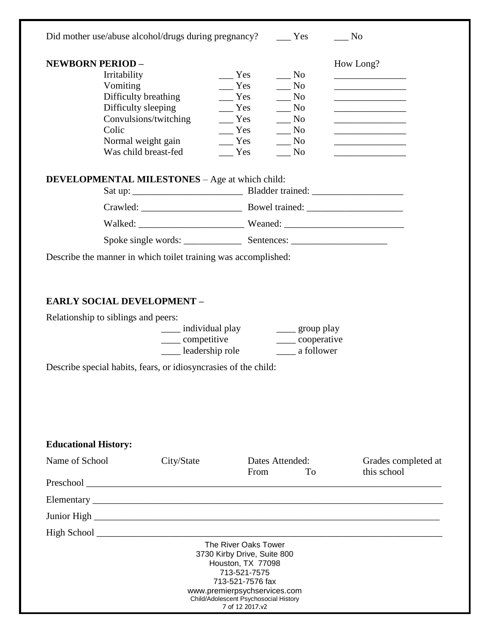| Did mother use/abuse alcohol/drugs during pregnancy? _______ Yes                                                                    |                                                                                         |                                                                                                                                                                                                          |                                                                                                                                                                                    | $\_\_$ No                                                                                                       |
|-------------------------------------------------------------------------------------------------------------------------------------|-----------------------------------------------------------------------------------------|----------------------------------------------------------------------------------------------------------------------------------------------------------------------------------------------------------|------------------------------------------------------------------------------------------------------------------------------------------------------------------------------------|-----------------------------------------------------------------------------------------------------------------|
| <b>NEWBORN PERIOD -</b><br>Irritability<br>Vomiting<br>Difficulty breathing<br>Difficulty sleeping<br>Colic<br>Was child breast-fed | Convulsions/twitching<br>Normal weight gain                                             | Yes<br>$\mathbf{Yes}$<br>$\equiv$ Yes<br>$\equiv$ Yes<br>$\equiv$ Yes<br>$\mathbf{Yes}$<br>Yes<br>Yes                                                                                                    | $\mathbf{N}\mathbf{o}$<br>$\mathbf{N}\mathbf{o}$<br>$\mathbf{N}\mathbf{o}$<br>$\sqrt{N}$<br>$\equiv$ No<br>N <sub>0</sub><br>$\overline{\phantom{1}}$ No<br>$\mathbf{N}\mathbf{o}$ | How Long?<br><u> 1980 - Johann John Stone, markin fizikar (</u><br>the control of the control of the control of |
| <b>DEVELOPMENTAL MILESTONES</b> - Age at which child:                                                                               |                                                                                         |                                                                                                                                                                                                          |                                                                                                                                                                                    |                                                                                                                 |
|                                                                                                                                     |                                                                                         |                                                                                                                                                                                                          |                                                                                                                                                                                    |                                                                                                                 |
|                                                                                                                                     |                                                                                         |                                                                                                                                                                                                          |                                                                                                                                                                                    |                                                                                                                 |
|                                                                                                                                     |                                                                                         |                                                                                                                                                                                                          |                                                                                                                                                                                    |                                                                                                                 |
| Describe the manner in which toilet training was accomplished:                                                                      |                                                                                         |                                                                                                                                                                                                          |                                                                                                                                                                                    |                                                                                                                 |
| Relationship to siblings and peers:<br>Describe special habits, fears, or idiosyncrasies of the child:                              | ____ individual play ____ group play<br>_____ competitive<br>leadership role a follower |                                                                                                                                                                                                          | _____ cooperative                                                                                                                                                                  |                                                                                                                 |
| <b>Educational History:</b>                                                                                                         |                                                                                         |                                                                                                                                                                                                          |                                                                                                                                                                                    |                                                                                                                 |
| Name of School                                                                                                                      | City/State                                                                              | Dates Attended:                                                                                                                                                                                          |                                                                                                                                                                                    | Grades completed at                                                                                             |
|                                                                                                                                     |                                                                                         | From                                                                                                                                                                                                     | To                                                                                                                                                                                 | this school                                                                                                     |
|                                                                                                                                     |                                                                                         |                                                                                                                                                                                                          |                                                                                                                                                                                    |                                                                                                                 |
|                                                                                                                                     |                                                                                         |                                                                                                                                                                                                          |                                                                                                                                                                                    |                                                                                                                 |
|                                                                                                                                     |                                                                                         |                                                                                                                                                                                                          |                                                                                                                                                                                    |                                                                                                                 |
|                                                                                                                                     |                                                                                         | The River Oaks Tower<br>3730 Kirby Drive, Suite 800<br>Houston, TX 77098<br>713-521-7575<br>713-521-7576 fax<br>www.premierpsychservices.com<br>Child/Adolescent Psychosocial History<br>7 of 12 2017.v2 |                                                                                                                                                                                    |                                                                                                                 |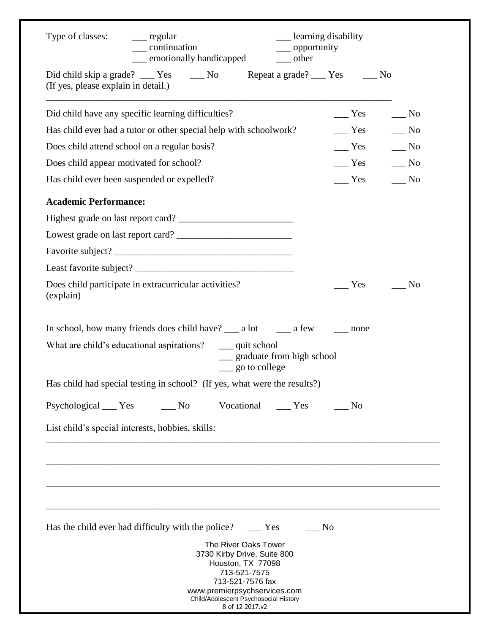| Type of classes: _______ regular<br>__ learning disability<br>$\_\_$ continuation<br>__ opportunity<br><u>e</u> motionally handicapped<br>$\equiv$ other                                                 |                   |                                                                          |
|----------------------------------------------------------------------------------------------------------------------------------------------------------------------------------------------------------|-------------------|--------------------------------------------------------------------------|
| Did child skip a grade? ______ Yes _______ No ______ Repeat a grade? _____ Yes _______ No<br>(If yes, please explain in detail.)                                                                         |                   |                                                                          |
| Did child have any specific learning difficulties?                                                                                                                                                       | Yes               | $\frac{N_0}{N_0}$                                                        |
| Has child ever had a tutor or other special help with schoolwork?                                                                                                                                        | $\frac{1}{1}$ Yes | $\equiv$ No                                                              |
| Does child attend school on a regular basis?                                                                                                                                                             |                   | $Yes$ No                                                                 |
| Does child appear motivated for school?                                                                                                                                                                  |                   | $\frac{1}{\sqrt{1-\frac{1}{c}}}$ Yes $\frac{1}{\sqrt{1-\frac{1}{c}}}$ No |
| Has child ever been suspended or expelled?                                                                                                                                                               | $\equiv$ Yes      | $\overline{\phantom{0}}$ No                                              |
| <b>Academic Performance:</b>                                                                                                                                                                             |                   |                                                                          |
|                                                                                                                                                                                                          |                   |                                                                          |
|                                                                                                                                                                                                          |                   |                                                                          |
|                                                                                                                                                                                                          |                   |                                                                          |
|                                                                                                                                                                                                          |                   |                                                                          |
| Does child participate in extracurricular activities?<br>(explain)                                                                                                                                       | Yes               | $\overline{\text{No}}$                                                   |
|                                                                                                                                                                                                          |                   |                                                                          |
| What are child's educational aspirations? ____ quit school<br>__ graduate from high school<br>$\_\_$ go to college                                                                                       |                   |                                                                          |
| Has child had special testing in school? (If yes, what were the results?)                                                                                                                                |                   |                                                                          |
| Psychological ______ Yes<br>Vocational<br>$\frac{N_0}{N_0}$<br>$\rule{1em}{0.15mm}$ Yes                                                                                                                  | N <sub>o</sub>    |                                                                          |
| List child's special interests, hobbies, skills:                                                                                                                                                         |                   |                                                                          |
|                                                                                                                                                                                                          |                   |                                                                          |
|                                                                                                                                                                                                          |                   |                                                                          |
| Has the child ever had difficulty with the police? _______ Yes<br>No.                                                                                                                                    |                   |                                                                          |
| The River Oaks Tower<br>3730 Kirby Drive, Suite 800<br>Houston, TX 77098<br>713-521-7575<br>713-521-7576 fax<br>www.premierpsychservices.com<br>Child/Adolescent Psychosocial History<br>8 of 12 2017.v2 |                   |                                                                          |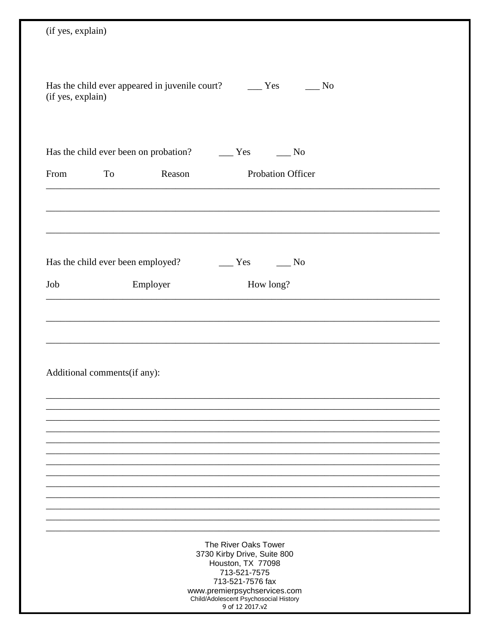| (if yes, explain)                                                                                                                                                                     |
|---------------------------------------------------------------------------------------------------------------------------------------------------------------------------------------|
|                                                                                                                                                                                       |
| Has the child ever appeared in juvenile court? The Yes<br>$\overline{\phantom{0}}$ No<br>(if yes, explain)                                                                            |
| Has the child ever been on probation? _________ Yes<br>$\frac{1}{\sqrt{10}}$                                                                                                          |
| Probation Officer<br>From<br>To<br>Reason                                                                                                                                             |
|                                                                                                                                                                                       |
|                                                                                                                                                                                       |
| Has the child ever been employed?<br>Yes<br>$\frac{1}{\sqrt{10}}$ No                                                                                                                  |
| Employer<br>How long?<br>Job                                                                                                                                                          |
|                                                                                                                                                                                       |
|                                                                                                                                                                                       |
|                                                                                                                                                                                       |
| Additional comments(if any):                                                                                                                                                          |
|                                                                                                                                                                                       |
|                                                                                                                                                                                       |
|                                                                                                                                                                                       |
|                                                                                                                                                                                       |
|                                                                                                                                                                                       |
|                                                                                                                                                                                       |
| The River Oaks Tower<br>3730 Kirby Drive, Suite 800<br>Houston, TX 77098<br>713-521-7575<br>713-521-7576 fax<br>www.premierpsychservices.com<br>Child/Adolescent Psychosocial History |
| 9 of 12 2017.v2                                                                                                                                                                       |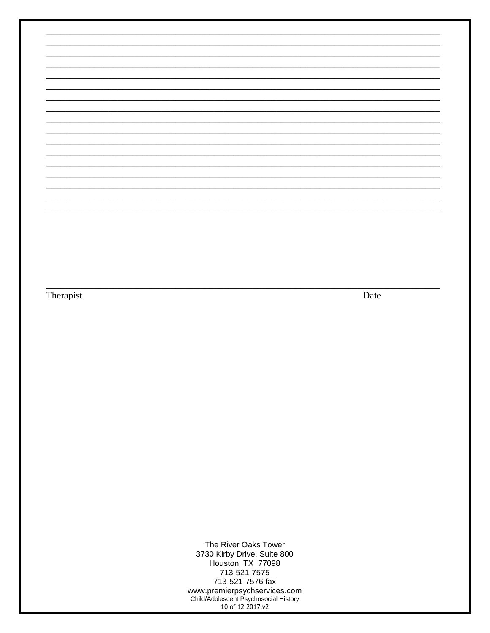Therapist

Date

The River Oaks Tower 3730 Kirby Drive, Suite 800<br>Houston, TX 77098 713-521-7575 713-521-7576 fax www.premierpsychservices.com<br>Child/Adolescent Psychosocial History<br>10 of 12 2017.v2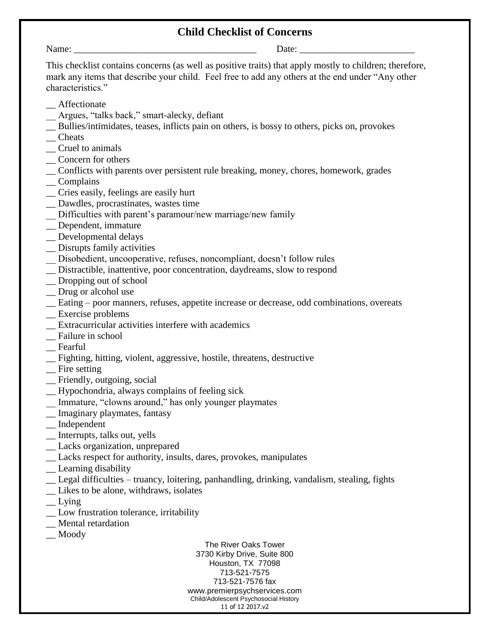## **Child Checklist of Concerns**

Name: \_\_\_\_\_\_\_\_\_\_\_\_\_\_\_\_\_\_\_\_\_\_\_\_\_\_\_\_\_\_\_\_\_\_\_\_\_\_ Date: \_\_\_\_\_\_\_\_\_\_\_\_\_\_\_\_\_\_\_\_\_\_\_\_

This checklist contains concerns (as well as positive traits) that apply mostly to children; therefore, mark any items that describe your child. Feel free to add any others at the end under "Any other characteristics."

- \_\_ Affectionate
- \_\_ Argues, "talks back," smart-alecky, defiant
- \_\_ Bullies/intimidates, teases, inflicts pain on others, is bossy to others, picks on, provokes
- \_\_ Cheats
- \_\_ Cruel to animals
- \_\_ Concern for others
- \_\_ Conflicts with parents over persistent rule breaking, money, chores, homework, grades
- \_\_ Complains
- \_\_ Cries easily, feelings are easily hurt
- \_\_ Dawdles, procrastinates, wastes time
- \_\_ Difficulties with parent's paramour/new marriage/new family
- \_\_ Dependent, immature
- \_\_ Developmental delays
- \_\_ Disrupts family activities
- \_\_ Disobedient, uncooperative, refuses, noncompliant, doesn't follow rules
- \_\_ Distractible, inattentive, poor concentration, daydreams, slow to respond
- \_\_ Dropping out of school
- \_\_ Drug or alcohol use
- \_\_ Eating poor manners, refuses, appetite increase or decrease, odd combinations, overeats
- \_\_ Exercise problems
- \_\_ Extracurricular activities interfere with academics
- \_\_ Failure in school
- \_\_ Fearful
- \_\_ Fighting, hitting, violent, aggressive, hostile, threatens, destructive
- \_\_ Fire setting
- \_\_ Friendly, outgoing, social
- \_\_ Hypochondria, always complains of feeling sick
- \_\_ Immature, "clowns around," has only younger playmates
- \_\_ Imaginary playmates, fantasy
- \_\_ Independent
- \_\_ Interrupts, talks out, yells
- \_\_ Lacks organization, unprepared
- \_\_ Lacks respect for authority, insults, dares, provokes, manipulates
- \_\_ Learning disability
- \_\_ Legal difficulties truancy, loitering, panhandling, drinking, vandalism, stealing, fights
- \_\_ Likes to be alone, withdraws, isolates
- $\equiv$  Lying
- \_\_ Low frustration tolerance, irritability
- \_\_ Mental retardation
- \_\_ Moody

The River Oaks Tower 3730 Kirby Drive, Suite 800 Houston, TX 77098 713-521-7575 713-521-7576 fax www.premierpsychservices.com Child/Adolescent Psychosocial History 11 of 12 2017.v2